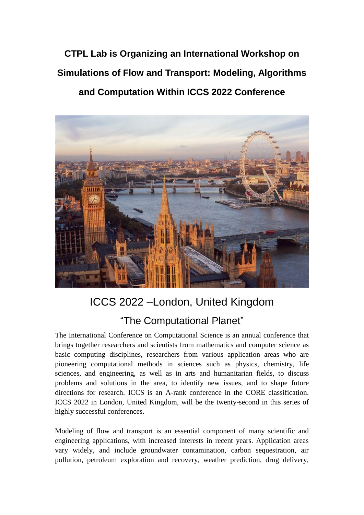**CTPL Lab is Organizing an International Workshop on Simulations of Flow and Transport: Modeling, Algorithms and Computation Within ICCS 2022 Conference**



# ICCS 2022 –London, United Kingdom "The Computational Planet"

The International Conference on Computational Science is an annual conference that brings together researchers and scientists from mathematics and computer science as basic computing disciplines, researchers from various application areas who are pioneering computational methods in sciences such as physics, chemistry, life sciences, and engineering, as well as in arts and humanitarian fields, to discuss problems and solutions in the area, to identify new issues, and to shape future directions for research. ICCS is an A-rank conference in the CORE classification. ICCS 2022 in London, United Kingdom, will be the twenty-second in this series of highly successful conferences.

Modeling of flow and transport is an essential component of many scientific and engineering applications, with increased interests in recent years. Application areas vary widely, and include groundwater contamination, carbon sequestration, air pollution, petroleum exploration and recovery, weather prediction, drug delivery,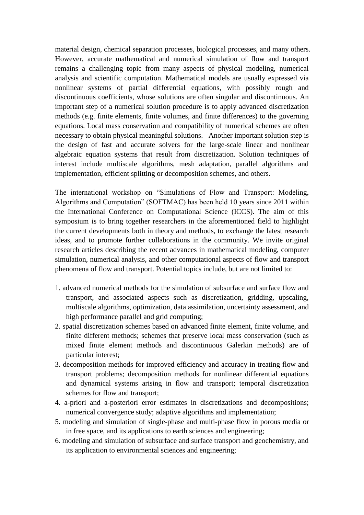material design, chemical separation processes, biological processes, and many others. However, accurate mathematical and numerical simulation of flow and transport remains a challenging topic from many aspects of physical modeling, numerical analysis and scientific computation. Mathematical models are usually expressed via nonlinear systems of partial differential equations, with possibly rough and discontinuous coefficients, whose solutions are often singular and discontinuous. An important step of a numerical solution procedure is to apply advanced discretization methods (e.g. finite elements, finite volumes, and finite differences) to the governing equations. Local mass conservation and compatibility of numerical schemes are often necessary to obtain physical meaningful solutions. Another important solution step is the design of fast and accurate solvers for the large-scale linear and nonlinear algebraic equation systems that result from discretization. Solution techniques of interest include multiscale algorithms, mesh adaptation, parallel algorithms and implementation, efficient splitting or decomposition schemes, and others.

The international workshop on "Simulations of Flow and Transport: Modeling, Algorithms and Computation" (SOFTMAC) has been held 10 years since 2011 within the International Conference on Computational Science (ICCS). The aim of this symposium is to bring together researchers in the aforementioned field to highlight the current developments both in theory and methods, to exchange the latest research ideas, and to promote further collaborations in the community. We invite original research articles describing the recent advances in mathematical modeling, computer simulation, numerical analysis, and other computational aspects of flow and transport phenomena of flow and transport. Potential topics include, but are not limited to:

- 1. advanced numerical methods for the simulation of subsurface and surface flow and transport, and associated aspects such as discretization, gridding, upscaling, multiscale algorithms, optimization, data assimilation, uncertainty assessment, and high performance parallel and grid computing;
- 2. spatial discretization schemes based on advanced finite element, finite volume, and finite different methods; schemes that preserve local mass conservation (such as mixed finite element methods and discontinuous Galerkin methods) are of particular interest;
- 3. decomposition methods for improved efficiency and accuracy in treating flow and transport problems; decomposition methods for nonlinear differential equations and dynamical systems arising in flow and transport; temporal discretization schemes for flow and transport;
- 4. a-priori and a-posteriori error estimates in discretizations and decompositions; numerical convergence study; adaptive algorithms and implementation;
- 5. modeling and simulation of single-phase and multi-phase flow in porous media or in free space, and its applications to earth sciences and engineering;
- 6. modeling and simulation of subsurface and surface transport and geochemistry, and its application to environmental sciences and engineering;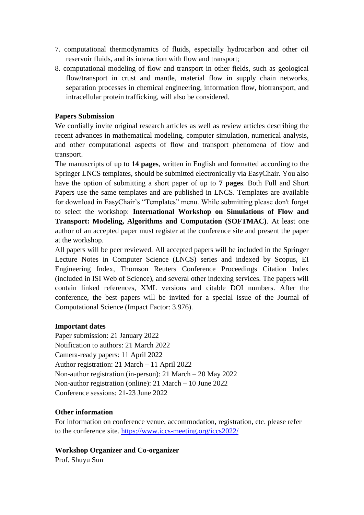- 7. computational thermodynamics of fluids, especially hydrocarbon and other oil reservoir fluids, and its interaction with flow and transport;
- 8. computational modeling of flow and transport in other fields, such as geological flow/transport in crust and mantle, material flow in supply chain networks, separation processes in chemical engineering, information flow, biotransport, and intracellular protein trafficking, will also be considered.

## **Papers Submission**

We cordially invite original research articles as well as review articles describing the recent advances in mathematical modeling, computer simulation, numerical analysis, and other computational aspects of flow and transport phenomena of flow and transport.

The manuscripts of up to **14 pages**, written in English and formatted according to the Springer LNCS templates, should be submitted electronically via EasyChair. You also have the option of submitting a short paper of up to **7 pages**. Both Full and Short Papers use the same templates and are published in LNCS. Templates are available for download in EasyChair's "Templates" menu. While submitting please don't forget to select the workshop: **International Workshop on Simulations of Flow and Transport: Modeling, Algorithms and Computation (SOFTMAC)**. At least one author of an accepted paper must register at the conference site and present the paper at the workshop.

All papers will be peer reviewed. All accepted papers will be included in the Springer Lecture Notes in Computer Science (LNCS) series and indexed by Scopus, EI Engineering Index, Thomson Reuters Conference Proceedings Citation Index (included in ISI Web of Science), and several other indexing services. The papers will contain linked references, XML versions and citable DOI numbers. After the conference, the best papers will be invited for a special issue of the Journal of Computational Science (Impact Factor: 3.976).

#### **Important dates**

Paper submission: 21 January 2022 Notification to authors: 21 March 2022 Camera-ready papers: 11 April 2022 Author registration: 21 March – 11 April 2022 Non-author registration (in-person): 21 March – 20 May 2022 Non-author registration (online): 21 March – 10 June 2022 Conference sessions: 21-23 June 2022

#### **Other information**

For information on conference venue, accommodation, registration, etc. please refer to the conference site.<https://www.iccs-meeting.org/iccs2022/>

## **Workshop Organizer and Co-organizer**

Prof. Shuyu Sun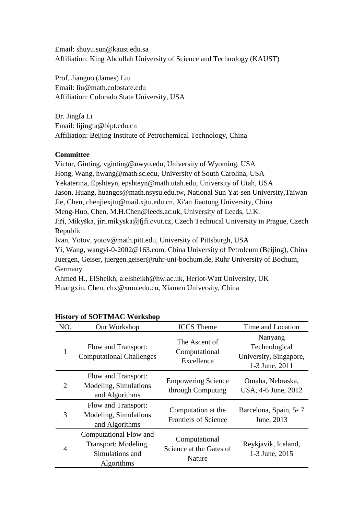Email: shuyu.sun@kaust.edu.sa Affiliation: King Abdullah University of Science and Technology (KAUST)

Prof. Jianguo (James) Liu Email: liu@math.colostate.edu Affiliation: Colorado State University, USA

Dr. Jingfa Li Email: lijingfa@bipt.edu.cn Affiliation: Beijing Institute of Petrochemical Technology, China

## **Committee**

Victor, Ginting, vginting@uwyo.edu, University of Wyoming, USA Hong, Wang, hwang@math.sc.edu, University of South Carolina, USA Yekaterina, Epshteyn, epshteyn@math.utah.edu, University of Utah, USA Jason, Huang, huangcs@math.nsysu.edu.tw, National Sun Yat-sen University,Taiwan Jie, Chen, chenjiexjtu@mail.xjtu.edu.cn, Xi'an Jiaotong University, China Meng-Huo, Chen, M.H.Chen@leeds.ac.uk, University of Leeds, U.K. Jiří, Mikyška, jiri.mikyska@fjfi.cvut.cz, Czech Technical University in Prague, Czech Republic Ivan, Yotov, yotov@math.pitt.edu, University of Pittsburgh, USA Yi, Wang, wangyi-0-2002@163.com, China University of Petroleum (Beijing), China Juergen, Geiser, [juerg](mailto:juergen.geiser@ruhr-uni-bochum.de)en.geiser@ruhr-uni-bochum.de, Ruhr University of Bochum, Germany Ahmed H., ElSheikh, [a.elsh](mailto:a.elsheikh@hw.ac.uk)eikh@hw.ac.uk, Heriot-Watt University, UK

Huangxin, Chen, [chx@xmu](mailto:chx@xmu.edu.cn).edu.cn, Xiamen University, China

| NO.            | Our Workshop                                                                    | <b>ICCS</b> Theme                                  | Time and Location                                                    |
|----------------|---------------------------------------------------------------------------------|----------------------------------------------------|----------------------------------------------------------------------|
| 1              | Flow and Transport:<br><b>Computational Challenges</b>                          | The Ascent of<br>Computational<br>Excellence       | Nanyang<br>Technological<br>University, Singapore,<br>1-3 June, 2011 |
| $\overline{2}$ | Flow and Transport:<br>Modeling, Simulations<br>and Algorithms                  | <b>Empowering Science</b><br>through Computing     | Omaha, Nebraska,<br>USA, 4-6 June, 2012                              |
| 3              | Flow and Transport:<br>Modeling, Simulations<br>and Algorithms                  | Computation at the<br><b>Frontiers of Science</b>  | Barcelona, Spain, 5-7<br>June, 2013                                  |
| 4              | Computational Flow and<br>Transport: Modeling,<br>Simulations and<br>Algorithms | Computational<br>Science at the Gates of<br>Nature | Reykjav k, Iceland,<br>1-3 June, 2015                                |

# **History of SOFTMAC Workshop**